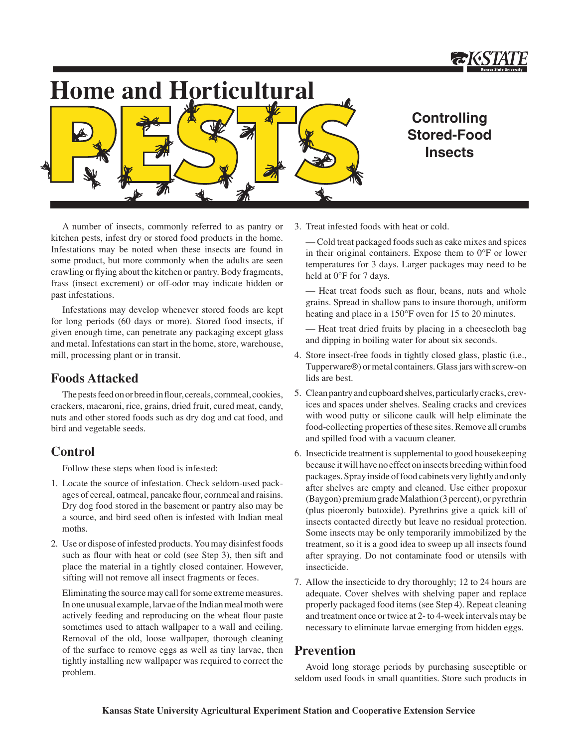

# **Home and Horticultural**



## **Controlling Stored-Food Insects**

A number of insects, commonly referred to as pantry or kitchen pests, infest dry or stored food products in the home. Infestations may be noted when these insects are found in some product, but more commonly when the adults are seen crawling or flying about the kitchen or pantry. Body fragments, frass (insect excrement) or off-odor may indicate hidden or past infestations.

Infestations may develop whenever stored foods are kept for long periods (60 days or more). Stored food insects, if given enough time, can penetrate any packaging except glass and metal. Infestations can start in the home, store, warehouse, mill, processing plant or in transit.

### **Foods Attacked**

The pests feed on or breed in flour, cereals, cornmeal, cookies, crackers, macaroni, rice, grains, dried fruit, cured meat, candy, nuts and other stored foods such as dry dog and cat food, and bird and vegetable seeds.

### **Control**

Follow these steps when food is infested:

- 1. Locate the source of infestation. Check seldom-used packages of cereal, oatmeal, pancake flour, cornmeal and raisins. Dry dog food stored in the basement or pantry also may be a source, and bird seed often is infested with Indian meal moths.
- 2. Use or dispose of infested products. You may disinfest foods such as flour with heat or cold (see Step 3), then sift and place the material in a tightly closed container. However, sifting will not remove all insect fragments or feces.

Eliminating the source may call for some extreme measures. In one unusual example, larvae of the Indian meal moth were actively feeding and reproducing on the wheat flour paste sometimes used to attach wallpaper to a wall and ceiling. Removal of the old, loose wallpaper, thorough cleaning of the surface to remove eggs as well as tiny larvae, then tightly installing new wallpaper was required to correct the problem.

3. Treat infested foods with heat or cold.

 — Cold treat packaged foods such as cake mixes and spices in their original containers. Expose them to 0°F or lower temperatures for 3 days. Larger packages may need to be held at 0°F for 7 days.

 — Heat treat foods such as flour, beans, nuts and whole grains. Spread in shallow pans to insure thorough, uniform heating and place in a 150°F oven for 15 to 20 minutes.

 — Heat treat dried fruits by placing in a cheesecloth bag and dipping in boiling water for about six seconds.

- 4. Store insect-free foods in tightly closed glass, plastic (i.e., Tupperware®) or metal containers. Glass jars with screw-on lids are best.
- 5. Clean pantry and cupboard shelves, particularly cracks, crevices and spaces under shelves. Sealing cracks and crevices with wood putty or silicone caulk will help eliminate the food-collecting properties of these sites. Remove all crumbs and spilled food with a vacuum cleaner.
- 6. Insecticide treatment is supplemental to good housekeeping because it will have no effect on insects breeding within food packages. Spray inside of food cabinets very lightly and only after shelves are empty and cleaned. Use either propoxur (Baygon) premium grade Malathion (3 percent), or pyrethrin (plus pioeronly butoxide). Pyrethrins give a quick kill of insects contacted directly but leave no residual protection. Some insects may be only temporarily immobilized by the treatment, so it is a good idea to sweep up all insects found after spraying. Do not contaminate food or utensils with insecticide.
- 7. Allow the insecticide to dry thoroughly; 12 to 24 hours are adequate. Cover shelves with shelving paper and replace properly packaged food items (see Step 4). Repeat cleaning and treatment once or twice at 2- to 4-week intervals may be necessary to eliminate larvae emerging from hidden eggs.

## **Prevention**

Avoid long storage periods by purchasing susceptible or seldom used foods in small quantities. Store such products in